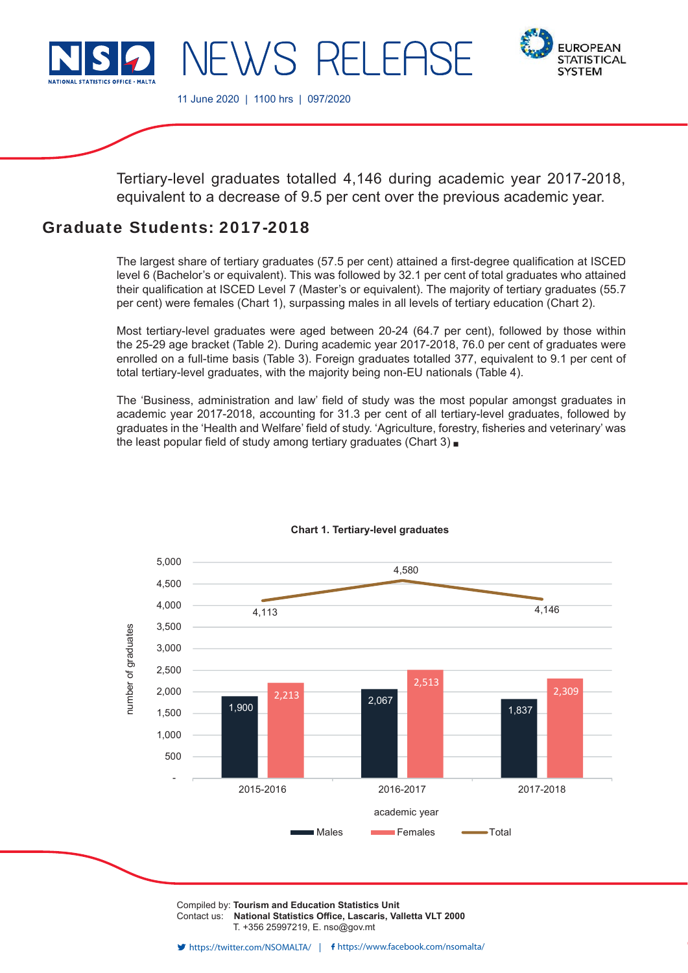

WS RELER



11 June 2020 | 1100 hrs | 097/2020

Tertiary-level graduates totalled 4,146 during academic year 2017-2018, equivalent to a decrease of 9.5 per cent over the previous academic year.

# Graduate Students: 2017-2018

The largest share of tertiary graduates (57.5 per cent) attained a first-degree qualification at ISCED level 6 (Bachelor's or equivalent). This was followed by 32.1 per cent of total graduates who attained their qualification at ISCED Level 7 (Master's or equivalent). The majority of tertiary graduates (55.7 per cent) were females (Chart 1), surpassing males in all levels of tertiary education (Chart 2).

Most tertiary-level graduates were aged between 20-24 (64.7 per cent), followed by those within the 25-29 age bracket (Table 2). During academic year 2017-2018, 76.0 per cent of graduates were enrolled on a full-time basis (Table 3). Foreign graduates totalled 377, equivalent to 9.1 per cent of total tertiary-level graduates, with the majority being non-EU nationals (Table 4).

The 'Business, administration and law' field of study was the most popular amongst graduates in academic year 2017-2018, accounting for 31.3 per cent of all tertiary-level graduates, followed by graduates in the 'Health and Welfare' field of study. 'Agriculture, forestry, fisheries and veterinary' was the least popular field of study among tertiary graduates (Chart 3)  $\blacksquare$ 



# **Chart 1. Tertiary-level graduates**

Compiled by: **Tourism and Education Statistics Unit** Contact us: National Statistics Office, Lascaris, Valletta VLT 2000 T. +356 25997219, E. nso@gov.mt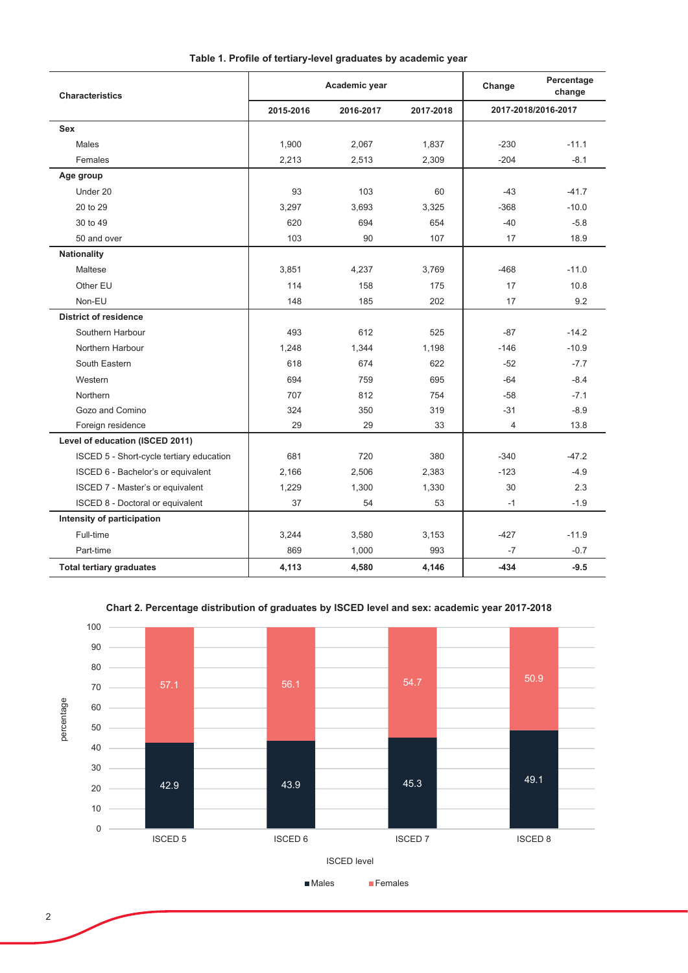| <b>Characteristics</b>                   |           | Academic year | Change    | Percentage<br>change |                     |
|------------------------------------------|-----------|---------------|-----------|----------------------|---------------------|
|                                          | 2015-2016 | 2016-2017     | 2017-2018 |                      | 2017-2018/2016-2017 |
| Sex                                      |           |               |           |                      |                     |
| Males                                    | 1,900     | 2,067         | 1,837     | $-230$               | $-11.1$             |
| Females                                  | 2,213     | 2,513         | 2,309     | $-204$               | $-8.1$              |
| Age group                                |           |               |           |                      |                     |
| Under 20                                 | 93        | 103           | 60        | $-43$                | $-41.7$             |
| 20 to 29                                 | 3,297     | 3,693         | 3,325     | $-368$               | $-10.0$             |
| 30 to 49                                 | 620       | 694           | 654       | $-40$                | $-5.8$              |
| 50 and over                              | 103       | 90            | 107       | 17                   | 18.9                |
| <b>Nationality</b>                       |           |               |           |                      |                     |
| Maltese                                  | 3,851     | 4,237         | 3,769     | $-468$               | $-11.0$             |
| Other EU                                 | 114       | 158           | 175       | 17                   | 10.8                |
| Non-EU                                   | 148       | 185           | 202       | 17                   | 9.2                 |
| <b>District of residence</b>             |           |               |           |                      |                     |
| Southern Harbour                         | 493       | 612           | 525       | $-87$                | $-14.2$             |
| Northern Harbour                         | 1,248     | 1,344         | 1,198     | $-146$               | $-10.9$             |
| South Eastern                            | 618       | 674           | 622       | $-52$                | $-7.7$              |
| Western                                  | 694       | 759           | 695       | $-64$                | $-8.4$              |
| Northern                                 | 707       | 812           | 754       | $-58$                | $-7.1$              |
| Gozo and Comino                          | 324       | 350           | 319       | $-31$                | $-8.9$              |
| Foreign residence                        | 29        | 29            | 33        | 4                    | 13.8                |
| Level of education (ISCED 2011)          |           |               |           |                      |                     |
| ISCED 5 - Short-cycle tertiary education | 681       | 720           | 380       | $-340$               | $-47.2$             |
| ISCED 6 - Bachelor's or equivalent       | 2,166     | 2,506         | 2,383     | $-123$               | $-4.9$              |
| ISCED 7 - Master's or equivalent         | 1,229     | 1,300         | 1,330     | 30                   | 2.3                 |
| ISCED 8 - Doctoral or equivalent         | 37        | 54            | 53        | $-1$                 | $-1.9$              |
| Intensity of participation               |           |               |           |                      |                     |
| Full-time                                | 3,244     | 3,580         | 3,153     | $-427$               | $-11.9$             |
| Part-time                                | 869       | 1,000         | 993       | $-7$                 | $-0.7$              |
| <b>Total tertiary graduates</b>          | 4,113     | 4,580         | 4,146     | $-434$               | $-9.5$              |

## Table 1. Profile of tertiary-level graduates by academic year

Chart 2. Percentage distribution of graduates by ISCED level and sex: academic year 2017-2018

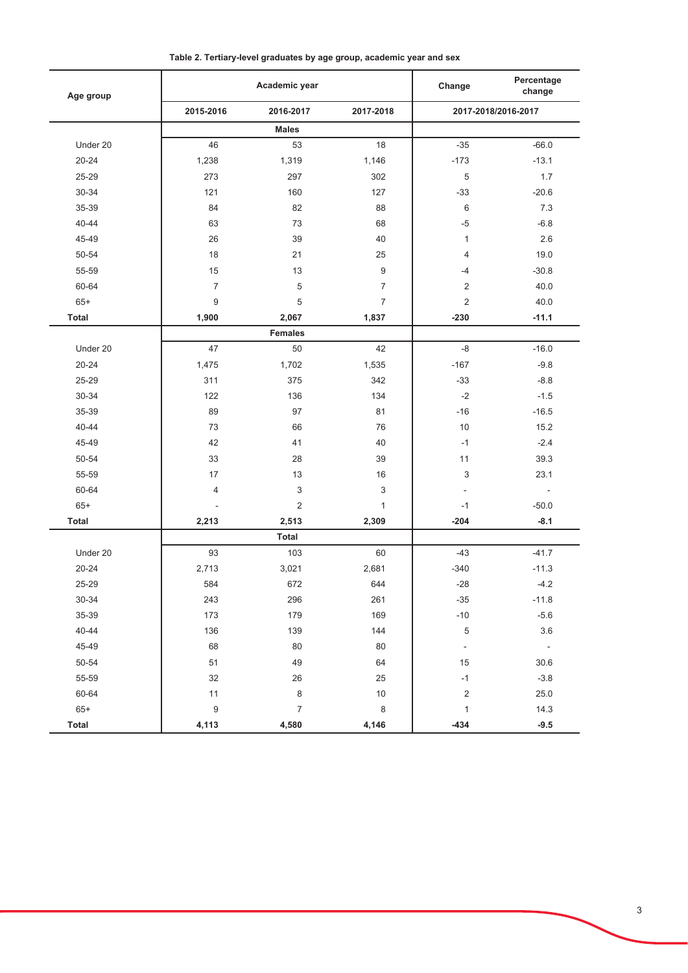| Age group    |                          | Academic year  |                |                     | Percentage<br>change     |  |
|--------------|--------------------------|----------------|----------------|---------------------|--------------------------|--|
|              | 2015-2016                | 2016-2017      | 2017-2018      | 2017-2018/2016-2017 |                          |  |
|              |                          | <b>Males</b>   |                |                     |                          |  |
| Under 20     | 46                       | 53             | 18             | $-35$               | $-66.0$                  |  |
| $20 - 24$    | 1,238                    | 1,319          | 1,146          | $-173$              | $-13.1$                  |  |
| 25-29        | 273                      | 297            | 302            | 5                   | 1.7                      |  |
| 30-34        | 121                      | 160            | 127            | $-33$               | $-20.6$                  |  |
| 35-39        | 84                       | 82             | 88             | 6                   | 7.3                      |  |
| 40-44        | 63                       | 73             | 68             | $-5$                | $-6.8$                   |  |
| 45-49        | 26                       | 39             | 40             | 1                   | 2.6                      |  |
| 50-54        | 18                       | 21             | 25             | $\overline{4}$      | 19.0                     |  |
| 55-59        | 15                       | 13             | 9              | $-4$                | $-30.8$                  |  |
| 60-64        | $\overline{7}$           | 5              | $\overline{7}$ | $\overline{2}$      | 40.0                     |  |
| $65+$        | $9\,$                    | 5              | $\overline{7}$ | $\overline{2}$      | 40.0                     |  |
| <b>Total</b> | 1,900                    | 2,067          | 1,837          | $-230$              | $-11.1$                  |  |
|              |                          | <b>Females</b> |                |                     |                          |  |
| Under 20     | 47                       | 50             | 42             | $-8$                | $-16.0$                  |  |
| $20 - 24$    | 1,475                    | 1,702          | 1,535          | $-167$              | $-9.8$                   |  |
| 25-29        | 311                      | 375            | 342            | $-33$               | $-8.8$                   |  |
| 30-34        | 122                      | 136            | 134            | $-2$                | $-1.5$                   |  |
| 35-39        | 89                       | 97             | 81             | $-16$               | $-16.5$                  |  |
| 40-44        | 73                       | 66             | 76             | 10                  | 15.2                     |  |
| 45-49        | 42                       | 41             | 40             | $-1$                | $-2.4$                   |  |
| 50-54        | 33                       | 28             | 39             | 11                  | 39.3                     |  |
| 55-59        | 17                       | 13             | 16             | 3                   | 23.1                     |  |
| 60-64        | $\overline{4}$           | 3              | 3              | $\overline{a}$      | $\overline{\phantom{a}}$ |  |
| $65+$        | $\overline{\phantom{a}}$ | $\overline{2}$ | $\mathbf{1}$   | $-1$                | $-50.0$                  |  |
| <b>Total</b> | 2,213                    | 2,513          | 2,309          | $-204$              | $-8.1$                   |  |
|              |                          | <b>Total</b>   |                |                     |                          |  |
| Under 20     | 93                       | 103            | 60             | $-43$               | $-41.7$                  |  |
| $20 - 24$    | 2,713                    | 3,021          | 2,681          | $-340$              | $-11.3$                  |  |
| 25-29        | 584                      | 672            | 644            | $-28$               | $-4.2$                   |  |
| 30-34        | 243                      | 296            | 261            | $-35$               | $-11.8$                  |  |
| 35-39        | 173                      | 179            | 169            | $-10$               | $-5.6$                   |  |
| 40-44        | 136                      | 139            | 144            | $\,$ 5 $\,$         | $3.6\,$                  |  |
| 45-49        | 68                       | 80             | 80             | $\blacksquare$      | $\sim$ $\pm$             |  |
| $50 - 54$    | 51                       | 49             | 64             | 15                  | 30.6                     |  |
| 55-59        | 32                       | 26             | 25             | $-1$                | $-3.8$                   |  |
| 60-64        | 11                       | 8              | 10             | $\overline{2}$      | 25.0                     |  |
| $65+$        | $\boldsymbol{9}$         | $\overline{7}$ | $\,8\,$        | $\mathbf{1}$        | 14.3                     |  |
| <b>Total</b> | 4,113                    | 4,580          | 4,146          | $-434$              | $-9.5$                   |  |

Table 2. Tertiary-level graduates by age group, academic year and sex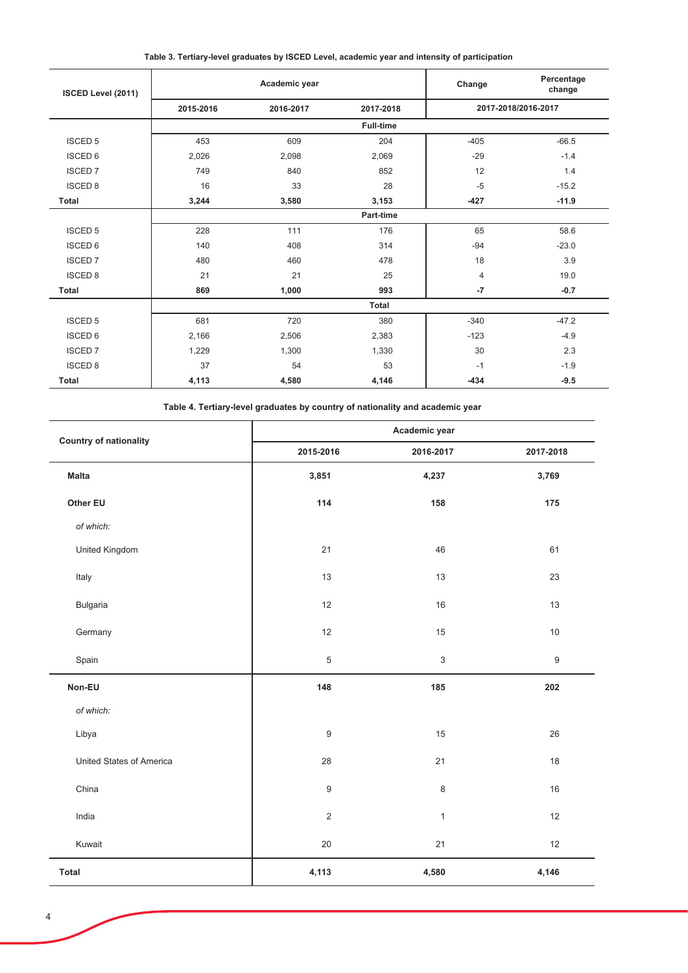Table 3. Tertiary-level graduates by ISCED Level, academic year and intensity of participation

| ISCED Level (2011) | Academic year |           |                  | Percentage<br>Change<br>change |         |  |
|--------------------|---------------|-----------|------------------|--------------------------------|---------|--|
|                    | 2015-2016     | 2016-2017 | 2017-2018        | 2017-2018/2016-2017            |         |  |
|                    |               |           | <b>Full-time</b> |                                |         |  |
| <b>ISCED 5</b>     | 453           | 609       | 204              | $-405$                         | $-66.5$ |  |
| <b>ISCED 6</b>     | 2,026         | 2,098     | 2,069            | $-29$                          | $-1.4$  |  |
| <b>ISCED 7</b>     | 749           | 840       | 852              | 12                             | 1.4     |  |
| <b>ISCED 8</b>     | 16            | 33        | 28               | $-5$                           | $-15.2$ |  |
| Total              | 3,244         | 3,580     | 3,153            | $-427$                         | $-11.9$ |  |
|                    | Part-time     |           |                  |                                |         |  |
| <b>ISCED 5</b>     | 228           | 111       | 176              | 65                             | 58.6    |  |
| <b>ISCED 6</b>     | 140           | 408       | 314              | $-94$                          | $-23.0$ |  |
| <b>ISCED 7</b>     | 480           | 460       | 478              | 18                             | 3.9     |  |
| <b>ISCED 8</b>     | 21            | 21        | 25               | $\overline{4}$                 | 19.0    |  |
| <b>Total</b>       | 869           | 1,000     | 993              | $-7$                           | $-0.7$  |  |
|                    |               |           | <b>Total</b>     |                                |         |  |
| <b>ISCED 5</b>     | 681           | 720       | 380              | $-340$                         | $-47.2$ |  |
| <b>ISCED 6</b>     | 2,166         | 2,506     | 2,383            | $-123$                         | $-4.9$  |  |
| <b>ISCED 7</b>     | 1,229         | 1,300     | 1,330            | 30                             | 2.3     |  |
| <b>ISCED 8</b>     | 37            | 54        | 53               | $-1$                           | $-1.9$  |  |
| <b>Total</b>       | 4,113         | 4,580     | 4,146            | $-434$                         | $-9.5$  |  |

Table 4. Tertiary-level graduates by country of nationality and academic year

| <b>Country of nationality</b> | Academic year    |              |                  |  |  |  |
|-------------------------------|------------------|--------------|------------------|--|--|--|
|                               | 2015-2016        | 2016-2017    | 2017-2018        |  |  |  |
| <b>Malta</b>                  | 3,851            | 4,237        | 3,769            |  |  |  |
| Other EU                      | 114              | 158          | 175              |  |  |  |
| of which:                     |                  |              |                  |  |  |  |
| United Kingdom                | 21               | 46           | 61               |  |  |  |
| Italy                         | 13               | 13           | 23               |  |  |  |
| <b>Bulgaria</b>               | 12               | 16           | 13               |  |  |  |
| Germany                       | 12               | 15           | $10$             |  |  |  |
| Spain                         | $\sqrt{5}$       | $\sqrt{3}$   | $\boldsymbol{9}$ |  |  |  |
| Non-EU                        | 148              | 185          | 202              |  |  |  |
| of which:                     |                  |              |                  |  |  |  |
| Libya                         | $\boldsymbol{9}$ | 15           | 26               |  |  |  |
| United States of America      | 28               | 21           | 18               |  |  |  |
| China                         | $\boldsymbol{9}$ | 8            | 16               |  |  |  |
| India                         | $\sqrt{2}$       | $\mathbf{1}$ | 12               |  |  |  |
| Kuwait                        | $20\,$           | 21           | 12               |  |  |  |
| <b>Total</b>                  | 4,113            | 4,580        | 4,146            |  |  |  |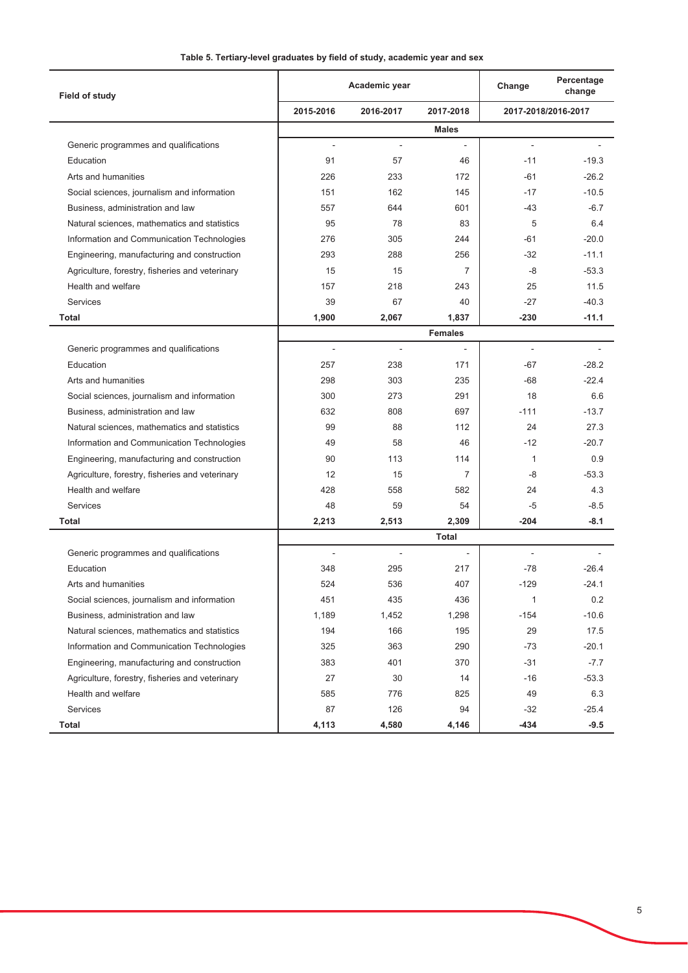|  |  | Table 5. Tertiary-level graduates by field of study, academic year and sex |  |
|--|--|----------------------------------------------------------------------------|--|
|  |  |                                                                            |  |

| Field of study                                  |                          | Academic year            |                          | Change                   | Percentage<br>change |
|-------------------------------------------------|--------------------------|--------------------------|--------------------------|--------------------------|----------------------|
|                                                 | 2015-2016                | 2016-2017                | 2017-2018                |                          | 2017-2018/2016-2017  |
|                                                 |                          |                          | <b>Males</b>             |                          |                      |
| Generic programmes and qualifications           | ÷,                       | L.                       |                          |                          |                      |
| Education                                       | 91                       | 57                       | 46                       | $-11$                    | $-19.3$              |
| Arts and humanities                             | 226                      | 233                      | 172                      | $-61$                    | $-26.2$              |
| Social sciences, journalism and information     | 151                      | 162                      | 145                      | $-17$                    | $-10.5$              |
| Business, administration and law                | 557                      | 644                      | 601                      | $-43$                    | $-6.7$               |
| Natural sciences, mathematics and statistics    | 95                       | 78                       | 83                       | 5                        | 6.4                  |
| Information and Communication Technologies      | 276                      | 305                      | 244                      | -61                      | $-20.0$              |
| Engineering, manufacturing and construction     | 293                      | 288                      | 256                      | -32                      | $-11.1$              |
| Agriculture, forestry, fisheries and veterinary | 15                       | 15                       | 7                        | -8                       | $-53.3$              |
| Health and welfare                              | 157                      | 218                      | 243                      | 25                       | 11.5                 |
| Services                                        | 39                       | 67                       | 40                       | $-27$                    | $-40.3$              |
| Total                                           | 1,900                    | 2,067                    | 1,837                    | $-230$                   | $-11.1$              |
|                                                 |                          |                          | <b>Females</b>           |                          |                      |
| Generic programmes and qualifications           | $\overline{\phantom{a}}$ | $\overline{\phantom{a}}$ | $\overline{\phantom{a}}$ | $\overline{\phantom{a}}$ |                      |
| Education                                       | 257                      | 238                      | 171                      | -67                      | $-28.2$              |
| Arts and humanities                             | 298                      | 303                      | 235                      | $-68$                    | $-22.4$              |
| Social sciences, journalism and information     | 300                      | 273                      | 291                      | 18                       | 6.6                  |
| Business, administration and law                | 632                      | 808                      | 697                      | $-111$                   | $-13.7$              |
| Natural sciences, mathematics and statistics    | 99                       | 88                       | 112                      | 24                       | 27.3                 |
| Information and Communication Technologies      | 49                       | 58                       | 46                       | $-12$                    | $-20.7$              |
| Engineering, manufacturing and construction     | 90                       | 113                      | 114                      | 1                        | 0.9                  |
| Agriculture, forestry, fisheries and veterinary | 12                       | 15                       | 7                        | -8                       | $-53.3$              |
| Health and welfare                              | 428                      | 558                      | 582                      | 24                       | 4.3                  |
| <b>Services</b>                                 | 48                       | 59                       | 54                       | -5                       | $-8.5$               |
| Total                                           | 2,213                    | 2,513                    | 2,309                    | $-204$                   | $-8.1$               |
|                                                 |                          |                          | <b>Total</b>             |                          |                      |
| Generic programmes and qualifications           | ÷,                       |                          |                          |                          |                      |
| Education                                       | 348                      | 295                      | 217                      | $-78$                    | $-26.4$              |
| Arts and humanities                             | 524                      | 536                      | 407                      | $-129$                   | $-24.1$              |
| Social sciences, journalism and information     | 451                      | 435                      | 436                      | 1                        | 0.2                  |
| Business, administration and law                | 1,189                    | 1,452                    | 1,298                    | $-154$                   | $-10.6$              |
| Natural sciences, mathematics and statistics    | 194                      | 166                      | 195                      | 29                       | 17.5                 |
| Information and Communication Technologies      | 325                      | 363                      | 290                      | $-73$                    | $-20.1$              |
| Engineering, manufacturing and construction     | 383                      | 401                      | 370                      | $-31$                    | $-7.7$               |
| Agriculture, forestry, fisheries and veterinary | 27                       | 30                       | 14                       | $-16$                    | $-53.3$              |
| Health and welfare                              | 585                      | 776                      | 825                      | 49                       | 6.3                  |
| Services                                        | 87                       | 126                      | 94                       | $-32$                    | $-25.4$              |
| Total                                           | 4,113                    | 4,580                    | 4,146                    | $-434$                   | $-9.5$               |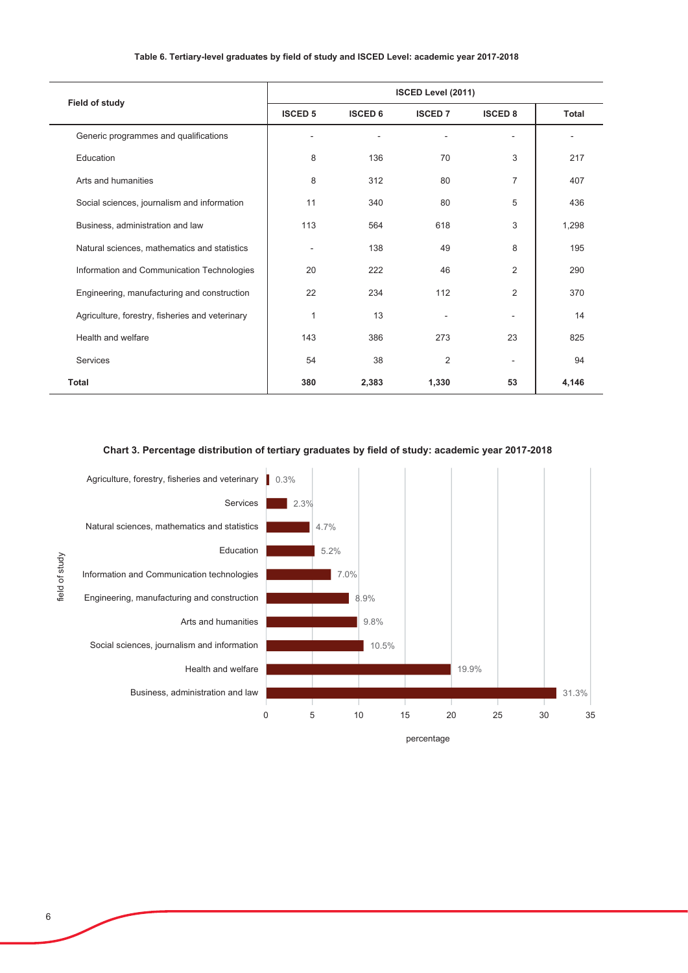|  |  | Table 6. Tertiary-level graduates by field of study and ISCED Level: academic year 2017-2018 |  |
|--|--|----------------------------------------------------------------------------------------------|--|
|  |  |                                                                                              |  |

| Field of study                                  | ISCED Level (2011) |                |                |                   |              |  |  |
|-------------------------------------------------|--------------------|----------------|----------------|-------------------|--------------|--|--|
|                                                 | <b>ISCED 5</b>     | <b>ISCED 6</b> | <b>ISCED 7</b> | <b>ISCED 8</b>    | <b>Total</b> |  |  |
| Generic programmes and qualifications           |                    |                |                | $\qquad \qquad -$ | ۰            |  |  |
| Education                                       | 8                  | 136            | 70             | 3                 | 217          |  |  |
| Arts and humanities                             | 8                  | 312            | 80             | $\overline{7}$    | 407          |  |  |
| Social sciences, journalism and information     | 11                 | 340            | 80             | 5                 | 436          |  |  |
| Business, administration and law                | 113                | 564            | 618            | 3                 | 1,298        |  |  |
| Natural sciences, mathematics and statistics    |                    | 138            | 49             | 8                 | 195          |  |  |
| Information and Communication Technologies      | 20                 | 222            | 46             | $\overline{2}$    | 290          |  |  |
| Engineering, manufacturing and construction     | 22                 | 234            | 112            | $\overline{2}$    | 370          |  |  |
| Agriculture, forestry, fisheries and veterinary | 1                  | 13             |                |                   | 14           |  |  |
| Health and welfare                              | 143                | 386            | 273            | 23                | 825          |  |  |
| Services                                        | 54                 | 38             | 2              |                   | 94           |  |  |
| <b>Total</b>                                    | 380                | 2,383          | 1,330          | 53                | 4,146        |  |  |

## Chart 3. Percentage distribution of tertiary graduates by field of study: academic year 2017-2018



 $\overline{6}$